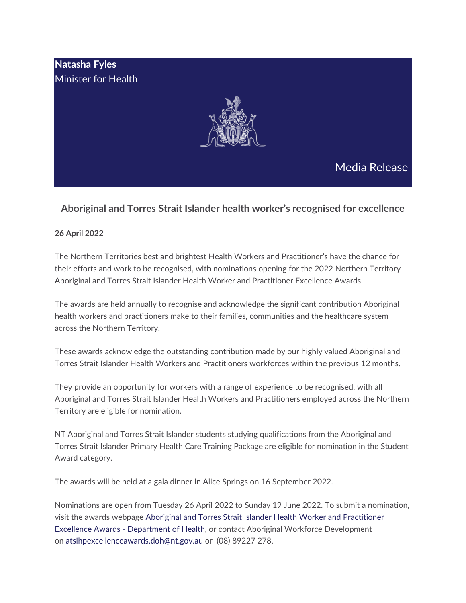**Natasha Fyles** Minister for Health



Media Release

## **Aboriginal and Torres Strait Islander health worker's recognised for excellence**

## **26 April 2022**

The Northern Territories best and brightest Health Workers and Practitioner's have the chance for their efforts and work to be recognised, with nominations opening for the 2022 Northern Territory Aboriginal and Torres Strait Islander Health Worker and Practitioner Excellence Awards.

The awards are held annually to recognise and acknowledge the significant contribution Aboriginal health workers and practitioners make to their families, communities and the healthcare system across the Northern Territory.

These awards acknowledge the outstanding contribution made by our highly valued Aboriginal and Torres Strait Islander Health Workers and Practitioners workforces within the previous 12 months.

They provide an opportunity for workers with a range of experience to be recognised, with all Aboriginal and Torres Strait Islander Health Workers and Practitioners employed across the Northern Territory are eligible for nomination.

NT Aboriginal and Torres Strait Islander students studying qualifications from the Aboriginal and Torres Strait Islander Primary Health Care Training Package are eligible for nomination in the Student Award category.

The awards will be held at a gala dinner in Alice Springs on 16 September 2022.

Nominations are open from Tuesday 26 April 2022 to Sunday 19 June 2022. To submit a nomination, visit the awards webpage [Aboriginal and Torres Strait Islander Health Worker and Practitioner](https://ntministers.createsend1.com/t/t-l-qtliha-l-r/)  Excellence Awards - [Department of Health,](https://ntministers.createsend1.com/t/t-l-qtliha-l-r/) or contact Aboriginal Workforce Development on [atsihpexcellenceawards.doh@nt.gov.au](mailto:atsihpexcellenceawards.doh@nt.gov.au) or (08) 89227 278.